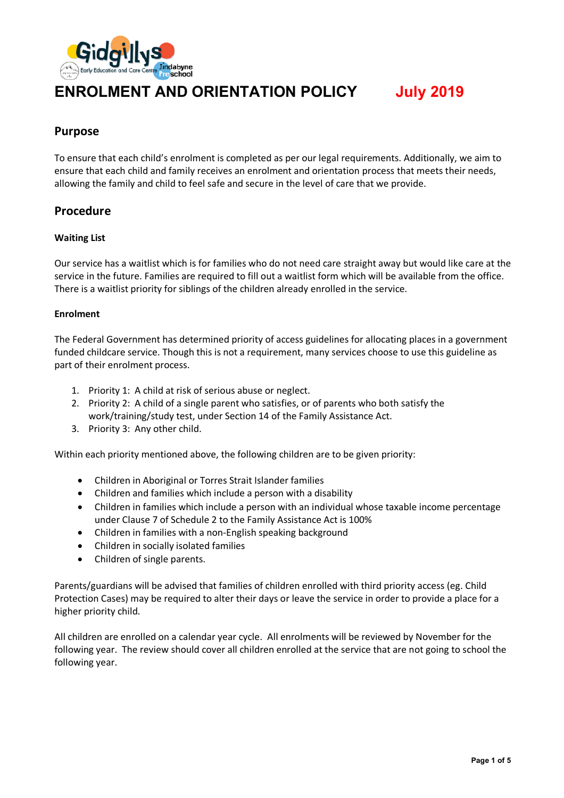

# **ENROLMENT AND ORIENTATION POLICY July 2019**

### **Purpose**

To ensure that each child's enrolment is completed as per our legal requirements. Additionally, we aim to ensure that each child and family receives an enrolment and orientation process that meets their needs, allowing the family and child to feel safe and secure in the level of care that we provide.

### **Procedure**

#### **Waiting List**

Our service has a waitlist which is for families who do not need care straight away but would like care at the service in the future. Families are required to fill out a waitlist form which will be available from the office. There is a waitlist priority for siblings of the children already enrolled in the service.

#### **Enrolment**

The Federal Government has determined priority of access guidelines for allocating places in a government funded childcare service. Though this is not a requirement, many services choose to use this guideline as part of their enrolment process.

- 1. Priority 1: A child at risk of serious abuse or neglect.
- 2. Priority 2: A child of a single parent who satisfies, or of parents who both satisfy the work/training/study test, under Section 14 of the Family Assistance Act.
- 3. Priority 3: Any other child.

Within each priority mentioned above, the following children are to be given priority:

- Children in Aboriginal or Torres Strait Islander families
- Children and families which include a person with a disability
- Children in families which include a person with an individual whose taxable income percentage under Clause 7 of Schedule 2 to the Family Assistance Act is 100%
- Children in families with a non-English speaking background
- Children in socially isolated families
- Children of single parents.

Parents/guardians will be advised that families of children enrolled with third priority access (eg. Child Protection Cases) may be required to alter their days or leave the service in order to provide a place for a higher priority child.

All children are enrolled on a calendar year cycle. All enrolments will be reviewed by November for the following year. The review should cover all children enrolled at the service that are not going to school the following year.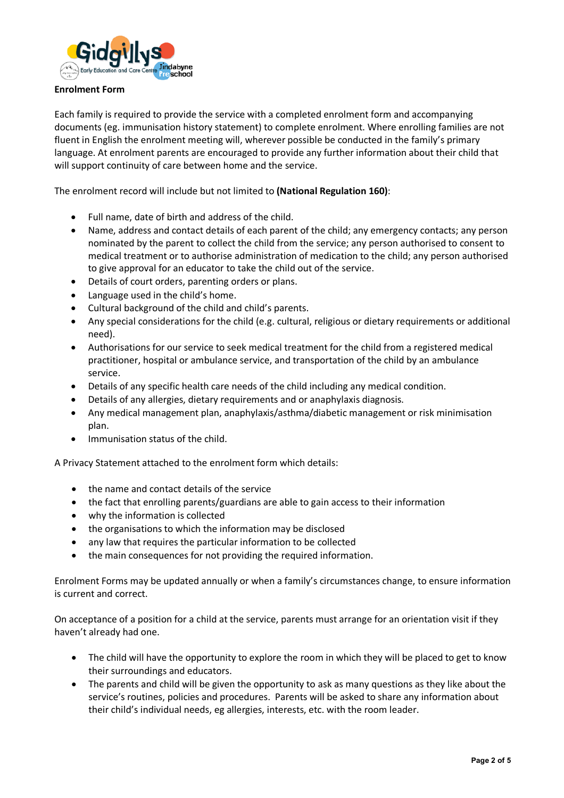

#### **Enrolment Form**

Each family is required to provide the service with a completed enrolment form and accompanying documents (eg. immunisation history statement) to complete enrolment. Where enrolling families are not fluent in English the enrolment meeting will, wherever possible be conducted in the family's primary language. At enrolment parents are encouraged to provide any further information about their child that will support continuity of care between home and the service.

The enrolment record will include but not limited to **(National Regulation 160)**:

- Full name, date of birth and address of the child.
- Name, address and contact details of each parent of the child; any emergency contacts; any person nominated by the parent to collect the child from the service; any person authorised to consent to medical treatment or to authorise administration of medication to the child; any person authorised to give approval for an educator to take the child out of the service.
- Details of court orders, parenting orders or plans.
- Language used in the child's home.
- Cultural background of the child and child's parents.
- Any special considerations for the child (e.g. cultural, religious or dietary requirements or additional need).
- Authorisations for our service to seek medical treatment for the child from a registered medical practitioner, hospital or ambulance service, and transportation of the child by an ambulance service.
- Details of any specific health care needs of the child including any medical condition.
- Details of any allergies, dietary requirements and or anaphylaxis diagnosis.
- Any medical management plan, anaphylaxis/asthma/diabetic management or risk minimisation plan.
- Immunisation status of the child.

A Privacy Statement attached to the enrolment form which details:

- the name and contact details of the service
- the fact that enrolling parents/guardians are able to gain access to their information
- why the information is collected
- the organisations to which the information may be disclosed
- any law that requires the particular information to be collected
- the main consequences for not providing the required information.

Enrolment Forms may be updated annually or when a family's circumstances change, to ensure information is current and correct.

On acceptance of a position for a child at the service, parents must arrange for an orientation visit if they haven't already had one.

- The child will have the opportunity to explore the room in which they will be placed to get to know their surroundings and educators.
- The parents and child will be given the opportunity to ask as many questions as they like about the service's routines, policies and procedures. Parents will be asked to share any information about their child's individual needs, eg allergies, interests, etc. with the room leader.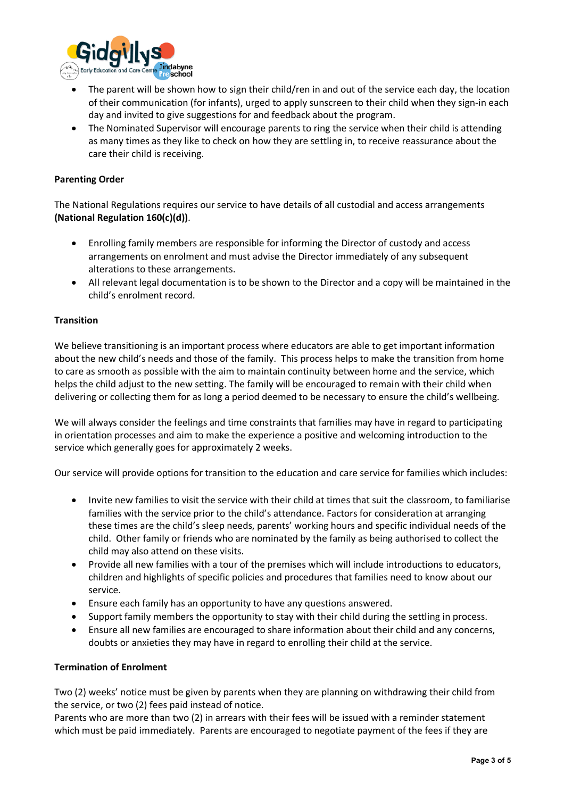

- The parent will be shown how to sign their child/ren in and out of the service each day, the location of their communication (for infants), urged to apply sunscreen to their child when they sign-in each day and invited to give suggestions for and feedback about the program.
- The Nominated Supervisor will encourage parents to ring the service when their child is attending as many times as they like to check on how they are settling in, to receive reassurance about the care their child is receiving.

#### **Parenting Order**

The National Regulations requires our service to have details of all custodial and access arrangements **(National Regulation 160(c)(d))**.

- Enrolling family members are responsible for informing the Director of custody and access arrangements on enrolment and must advise the Director immediately of any subsequent alterations to these arrangements.
- All relevant legal documentation is to be shown to the Director and a copy will be maintained in the child's enrolment record.

#### **Transition**

We believe transitioning is an important process where educators are able to get important information about the new child's needs and those of the family. This process helps to make the transition from home to care as smooth as possible with the aim to maintain continuity between home and the service, which helps the child adjust to the new setting. The family will be encouraged to remain with their child when delivering or collecting them for as long a period deemed to be necessary to ensure the child's wellbeing.

We will always consider the feelings and time constraints that families may have in regard to participating in orientation processes and aim to make the experience a positive and welcoming introduction to the service which generally goes for approximately 2 weeks.

Our service will provide options for transition to the education and care service for families which includes:

- Invite new families to visit the service with their child at times that suit the classroom, to familiarise families with the service prior to the child's attendance. Factors for consideration at arranging these times are the child's sleep needs, parents' working hours and specific individual needs of the child. Other family or friends who are nominated by the family as being authorised to collect the child may also attend on these visits.
- Provide all new families with a tour of the premises which will include introductions to educators, children and highlights of specific policies and procedures that families need to know about our service.
- Ensure each family has an opportunity to have any questions answered.
- Support family members the opportunity to stay with their child during the settling in process.
- Ensure all new families are encouraged to share information about their child and any concerns, doubts or anxieties they may have in regard to enrolling their child at the service.

#### **Termination of Enrolment**

Two (2) weeks' notice must be given by parents when they are planning on withdrawing their child from the service, or two (2) fees paid instead of notice.

Parents who are more than two (2) in arrears with their fees will be issued with a reminder statement which must be paid immediately. Parents are encouraged to negotiate payment of the fees if they are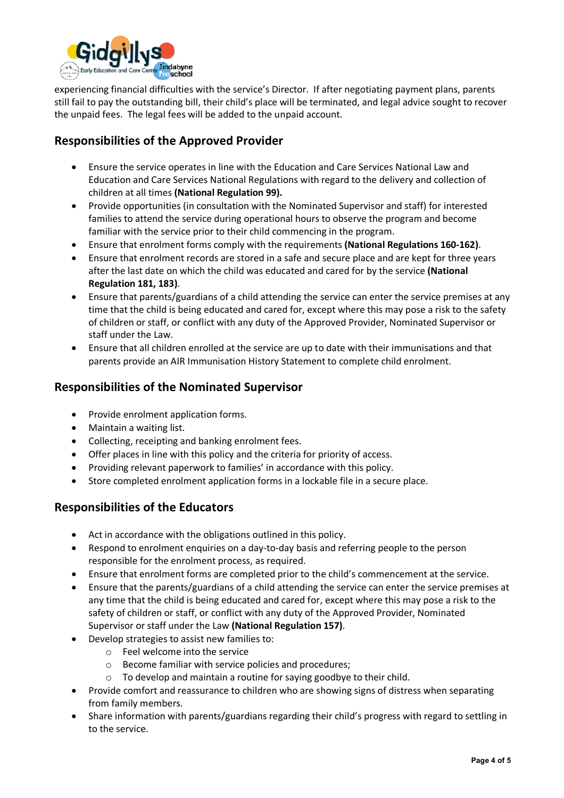

experiencing financial difficulties with the service's Director. If after negotiating payment plans, parents still fail to pay the outstanding bill, their child's place will be terminated, and legal advice sought to recover the unpaid fees. The legal fees will be added to the unpaid account.

# **Responsibilities of the Approved Provider**

- Ensure the service operates in line with the Education and Care Services National Law and Education and Care Services National Regulations with regard to the delivery and collection of children at all times **(National Regulation 99).**
- Provide opportunities (in consultation with the Nominated Supervisor and staff) for interested families to attend the service during operational hours to observe the program and become familiar with the service prior to their child commencing in the program.
- Ensure that enrolment forms comply with the requirements **(National Regulations 160-162)**.
- Ensure that enrolment records are stored in a safe and secure place and are kept for three years after the last date on which the child was educated and cared for by the service **(National Regulation 181, 183)**.
- Ensure that parents/guardians of a child attending the service can enter the service premises at any time that the child is being educated and cared for, except where this may pose a risk to the safety of children or staff, or conflict with any duty of the Approved Provider, Nominated Supervisor or staff under the Law.
- Ensure that all children enrolled at the service are up to date with their immunisations and that parents provide an AIR Immunisation History Statement to complete child enrolment.

### **Responsibilities of the Nominated Supervisor**

- Provide enrolment application forms.
- Maintain a waiting list.
- Collecting, receipting and banking enrolment fees.
- Offer places in line with this policy and the criteria for priority of access.
- Providing relevant paperwork to families' in accordance with this policy.
- Store completed enrolment application forms in a lockable file in a secure place.

# **Responsibilities of the Educators**

- Act in accordance with the obligations outlined in this policy.
- Respond to enrolment enquiries on a day-to-day basis and referring people to the person responsible for the enrolment process, as required.
- Ensure that enrolment forms are completed prior to the child's commencement at the service.
- Ensure that the parents/guardians of a child attending the service can enter the service premises at any time that the child is being educated and cared for, except where this may pose a risk to the safety of children or staff, or conflict with any duty of the Approved Provider, Nominated Supervisor or staff under the Law **(National Regulation 157)**.
- Develop strategies to assist new families to:
	- o Feel welcome into the service
	- o Become familiar with service policies and procedures;
	- o To develop and maintain a routine for saying goodbye to their child.
- Provide comfort and reassurance to children who are showing signs of distress when separating from family members.
- Share information with parents/guardians regarding their child's progress with regard to settling in to the service.